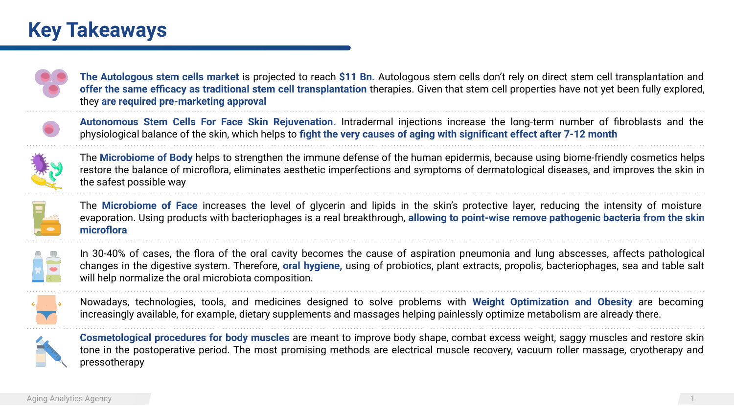## **Key Takeaways**



**The Autologous stem cells market** is projected to reach **\$11 Bn.** Autologous stem cells don't rely on direct stem cell transplantation and **offer the same efficacy as traditional stem cell transplantation** therapies. Given that stem cell properties have not yet been fully explored, they **are required pre-marketing approval**



**Autonomous Stem Cells For Face Skin Rejuvenation.** Intradermal injections increase the long-term number of fibroblasts and the physiological balance of the skin, which helps to **fight the very causes of aging with significant effect after 7-12 month**



The **Microbiome of Body** helps to strengthen the immune defense of the human epidermis, because using biome-friendly cosmetics helps restore the balance of microflora, eliminates aesthetic imperfections and symptoms of dermatological diseases, and improves the skin in the safest possible way



The **Microbiome of Face** increases the level of glycerin and lipids in the skin's protective layer, reducing the intensity of moisture evaporation. Using products with bacteriophages is a real breakthrough, **allowing to point-wise remove pathogenic bacteria from the skin microflora**



In 30-40% of cases, the flora of the oral cavity becomes the cause of aspiration pneumonia and lung abscesses, affects pathological changes in the digestive system. Therefore, **oral hygiene,** using of probiotics, plant extracts, propolis, bacteriophages, sea and table salt will help normalize the oral microbiota composition.



Nowadays, technologies, tools, and medicines designed to solve problems with **Weight Optimization and Obesity** are becoming increasingly available, for example, dietary supplements and massages helping painlessly optimize metabolism are already there.



**Cosmetological procedures for body muscles** are meant to improve body shape, combat excess weight, saggy muscles and restore skin tone in the postoperative period. The most promising methods are electrical muscle recovery, vacuum roller massage, cryotherapy and pressotherapy